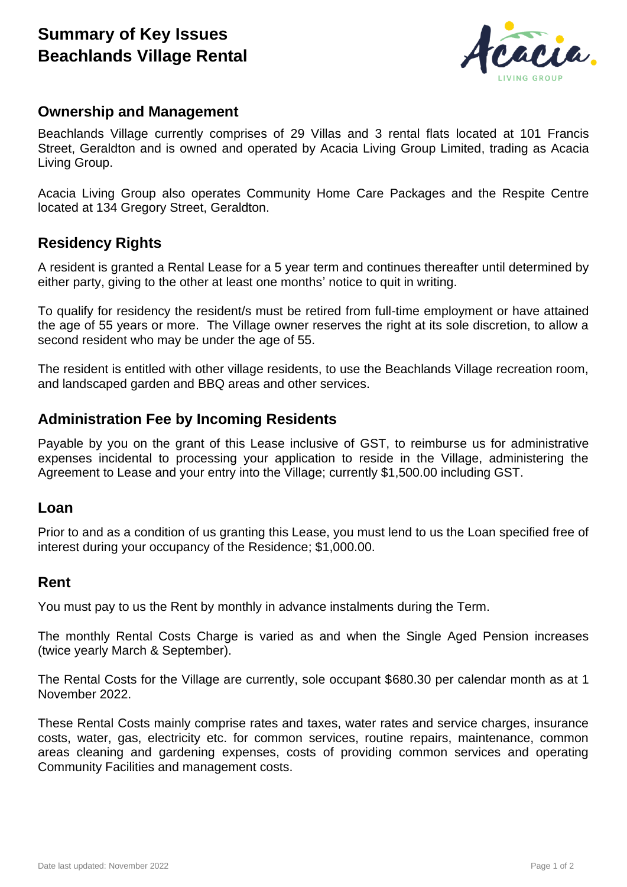# **Summary of Key Issues Beachlands Village Rental**



### **Ownership and Management**

Beachlands Village currently comprises of 29 Villas and 3 rental flats located at 101 Francis Street, Geraldton and is owned and operated by Acacia Living Group Limited, trading as Acacia Living Group.

Acacia Living Group also operates Community Home Care Packages and the Respite Centre located at 134 Gregory Street, Geraldton.

## **Residency Rights**

A resident is granted a Rental Lease for a 5 year term and continues thereafter until determined by either party, giving to the other at least one months' notice to quit in writing.

To qualify for residency the resident/s must be retired from full-time employment or have attained the age of 55 years or more. The Village owner reserves the right at its sole discretion, to allow a second resident who may be under the age of 55.

The resident is entitled with other village residents, to use the Beachlands Village recreation room, and landscaped garden and BBQ areas and other services.

#### **Administration Fee by Incoming Residents**

Payable by you on the grant of this Lease inclusive of GST, to reimburse us for administrative expenses incidental to processing your application to reside in the Village, administering the Agreement to Lease and your entry into the Village; currently \$1,500.00 including GST.

#### **Loan**

Prior to and as a condition of us granting this Lease, you must lend to us the Loan specified free of interest during your occupancy of the Residence; \$1,000.00.

#### **Rent**

You must pay to us the Rent by monthly in advance instalments during the Term.

The monthly Rental Costs Charge is varied as and when the Single Aged Pension increases (twice yearly March & September).

The Rental Costs for the Village are currently, sole occupant \$680.30 per calendar month as at 1 November 2022.

These Rental Costs mainly comprise rates and taxes, water rates and service charges, insurance costs, water, gas, electricity etc. for common services, routine repairs, maintenance, common areas cleaning and gardening expenses, costs of providing common services and operating Community Facilities and management costs.